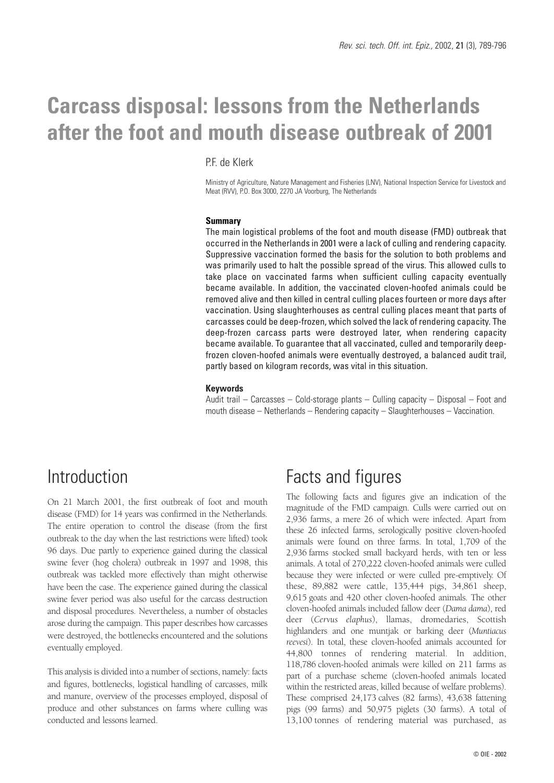# **Carcass disposal: lessons from the Netherlands after the foot and mouth disease outbreak of 2001**

PF de Klerk

Ministry of Agriculture, Nature Management and Fisheries (LNV), National Inspection Service for Livestock and Meat (RVV), P.O. Box 3000, 2270 JA Voorburg, The Netherlands

#### **Summary**

The main logistical problems of the foot and mouth disease (FMD) outbreak that occurred in the Netherlands in 2001 were a lack of culling and rendering capacity. Suppressive vaccination formed the basis for the solution to both problems and was primarily used to halt the possible spread of the virus. This allowed culls to take place on vaccinated farms when sufficient culling capacity eventually became available. In addition, the vaccinated cloven-hoofed animals could be removed alive and then killed in central culling places fourteen or more days after vaccination. Using slaughterhouses as central culling places meant that parts of carcasses could be deep-frozen, which solved the lack of rendering capacity. The deep-frozen carcass parts were destroyed later, when rendering capacity became available. To guarantee that all vaccinated, culled and temporarily deepfrozen cloven-hoofed animals were eventually destroyed, a balanced audit trail, partly based on kilogram records, was vital in this situation.

#### **Keywords**

Audit trail – Carcasses – Cold-storage plants – Culling capacity – Disposal – Foot and mouth disease – Netherlands – Rendering capacity – Slaughterhouses – Vaccination.

# Introduction

On 21 March 2001, the first outbreak of foot and mouth disease (FMD) for 14 years was confirmed in the Netherlands. The entire operation to control the disease (from the first outbreak to the day when the last restrictions were lifted) took 96 days. Due partly to experience gained during the classical swine fever (hog cholera) outbreak in 1997 and 1998, this outbreak was tackled more effectively than might otherwise have been the case. The experience gained during the classical swine fever period was also useful for the carcass destruction and disposal procedures. Nevertheless, a number of obstacles arose during the campaign. This paper describes how carcasses were destroyed, the bottlenecks encountered and the solutions eventually employed.

This analysis is divided into a number of sections, namely: facts and figures, bottlenecks, logistical handling of carcasses, milk and manure, overview of the processes employed, disposal of produce and other substances on farms where culling was conducted and lessons learned.

# Facts and figures

The following facts and figures give an indication of the magnitude of the FMD campaign. Culls were carried out on 2,936 farms, a mere 26 of which were infected. Apart from these 26 infected farms, serologically positive cloven-hoofed animals were found on three farms. In total, 1,709 of the 2,936 farms stocked small backyard herds, with ten or less animals. A total of 270,222 cloven-hoofed animals were culled because they were infected or were culled pre-emptively. Of these, 89,882 were cattle, 135,444 pigs, 34,861 sheep, 9,615 goats and 420 other cloven-hoofed animals. The other cloven-hoofed animals included fallow deer (*Dama dama*), red deer (*Cervus elaphus*), llamas, dromedaries, Scottish highlanders and one muntjak or barking deer (*Muntiacus reevesi*). In total, these cloven-hoofed animals accounted for 44,800 tonnes of rendering material. In addition, 118,786 cloven-hoofed animals were killed on 211 farms as part of a purchase scheme (cloven-hoofed animals located within the restricted areas, killed because of welfare problems). These comprised 24,173 calves (82 farms), 43,638 fattening pigs (99 farms) and 50,975 piglets (30 farms). A total of 13,100 tonnes of rendering material was purchased, as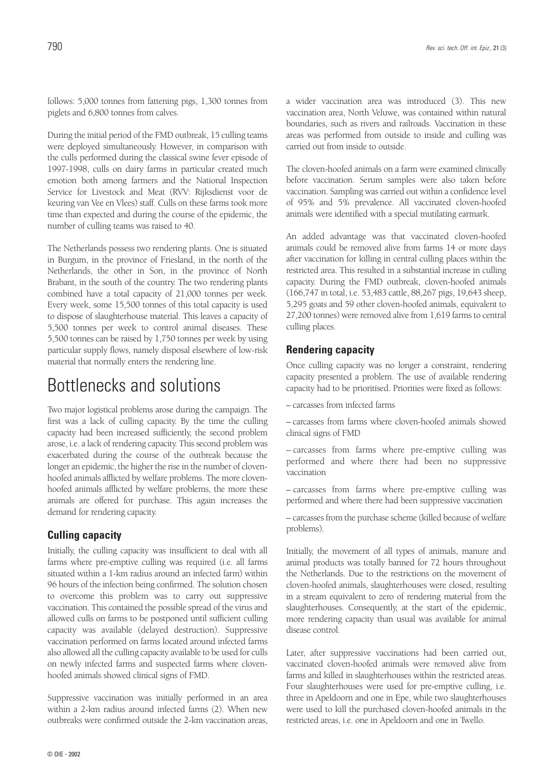follows: 5,000 tonnes from fattening pigs, 1,300 tonnes from piglets and 6,800 tonnes from calves.

During the initial period of the FMD outbreak, 15 culling teams were deployed simultaneously. However, in comparison with the culls performed during the classical swine fever episode of 1997-1998, culls on dairy farms in particular created much emotion both among farmers and the National Inspection Service for Livestock and Meat (RVV: Rijksdienst voor de keuring van Vee en Vlees) staff. Culls on these farms took more time than expected and during the course of the epidemic, the number of culling teams was raised to 40.

The Netherlands possess two rendering plants. One is situated in Burgum, in the province of Friesland, in the north of the Netherlands, the other in Son, in the province of North Brabant, in the south of the country. The two rendering plants combined have a total capacity of 21,000 tonnes per week. Every week, some 15,500 tonnes of this total capacity is used to dispose of slaughterhouse material. This leaves a capacity of 5,500 tonnes per week to control animal diseases. These 5,500 tonnes can be raised by 1,750 tonnes per week by using particular supply flows, namely disposal elsewhere of low-risk material that normally enters the rendering line.

# Bottlenecks and solutions

Two major logistical problems arose during the campaign. The first was a lack of culling capacity. By the time the culling capacity had been increased sufficiently, the second problem arose, i.e. a lack of rendering capacity. This second problem was exacerbated during the course of the outbreak because the longer an epidemic, the higher the rise in the number of clovenhoofed animals afflicted by welfare problems. The more clovenhoofed animals afflicted by welfare problems, the more these animals are offered for purchase. This again increases the demand for rendering capacity.

## **Culling capacity**

Initially, the culling capacity was insufficient to deal with all farms where pre-emptive culling was required (i.e. all farms situated within a 1-km radius around an infected farm) within 96 hours of the infection being confirmed. The solution chosen to overcome this problem was to carry out suppressive vaccination. This contained the possible spread of the virus and allowed culls on farms to be postponed until sufficient culling capacity was available (delayed destruction). Suppressive vaccination performed on farms located around infected farms also allowed all the culling capacity available to be used for culls on newly infected farms and suspected farms where clovenhoofed animals showed clinical signs of FMD.

Suppressive vaccination was initially performed in an area within a 2-km radius around infected farms (2). When new outbreaks were confirmed outside the 2-km vaccination areas, a wider vaccination area was introduced (3). This new vaccination area, North Veluwe, was contained within natural boundaries, such as rivers and railroads. Vaccination in these areas was performed from outside to inside and culling was carried out from inside to outside.

The cloven-hoofed animals on a farm were examined clinically before vaccination. Serum samples were also taken before vaccination. Sampling was carried out within a confidence level of 95% and 5% prevalence. All vaccinated cloven-hoofed animals were identified with a special mutilating earmark.

An added advantage was that vaccinated cloven-hoofed animals could be removed alive from farms 14 or more days after vaccination for killing in central culling places within the restricted area. This resulted in a substantial increase in culling capacity. During the FMD outbreak, cloven-hoofed animals (166,747 in total, i.e. 53,483 cattle, 88,267 pigs, 19,643 sheep, 5,295 goats and 59 other cloven-hoofed animals, equivalent to 27,200 tonnes) were removed alive from 1,619 farms to central culling places.

#### **Rendering capacity**

Once culling capacity was no longer a constraint, rendering capacity presented a problem. The use of available rendering capacity had to be prioritised. Priorities were fixed as follows:

– carcasses from infected farms

– carcasses from farms where cloven-hoofed animals showed clinical signs of FMD

– carcasses from farms where pre-emptive culling was performed and where there had been no suppressive vaccination

– carcasses from farms where pre-emptive culling was performed and where there had been suppressive vaccination

– carcasses from the purchase scheme (killed because of welfare problems).

Initially, the movement of all types of animals, manure and animal products was totally banned for 72 hours throughout the Netherlands. Due to the restrictions on the movement of cloven-hoofed animals, slaughterhouses were closed, resulting in a stream equivalent to zero of rendering material from the slaughterhouses. Consequently, at the start of the epidemic, more rendering capacity than usual was available for animal disease control.

Later, after suppressive vaccinations had been carried out, vaccinated cloven-hoofed animals were removed alive from farms and killed in slaughterhouses within the restricted areas. Four slaughterhouses were used for pre-emptive culling, i.e. three in Apeldoorn and one in Epe, while two slaughterhouses were used to kill the purchased cloven-hoofed animals in the restricted areas, i.e. one in Apeldoorn and one in Twello.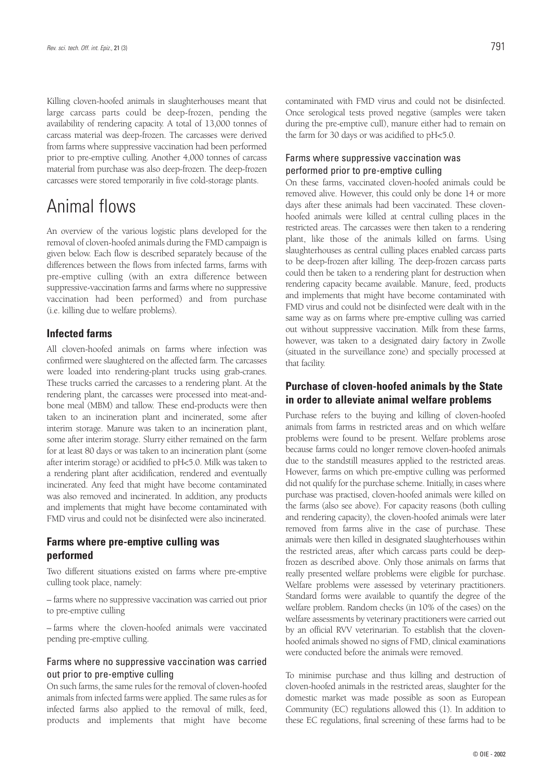Killing cloven-hoofed animals in slaughterhouses meant that large carcass parts could be deep-frozen, pending the availability of rendering capacity. A total of 13,000 tonnes of carcass material was deep-frozen. The carcasses were derived from farms where suppressive vaccination had been performed prior to pre-emptive culling. Another 4,000 tonnes of carcass material from purchase was also deep-frozen. The deep-frozen carcasses were stored temporarily in five cold-storage plants.

# Animal flows

An overview of the various logistic plans developed for the removal of cloven-hoofed animals during the FMD campaign is given below. Each flow is described separately because of the differences between the flows from infected farms, farms with pre-emptive culling (with an extra difference between suppressive-vaccination farms and farms where no suppressive vaccination had been performed) and from purchase (i.e. killing due to welfare problems).

## **Infected farms**

All cloven-hoofed animals on farms where infection was confirmed were slaughtered on the affected farm. The carcasses were loaded into rendering-plant trucks using grab-cranes. These trucks carried the carcasses to a rendering plant. At the rendering plant, the carcasses were processed into meat-andbone meal (MBM) and tallow. These end-products were then taken to an incineration plant and incinerated, some after interim storage. Manure was taken to an incineration plant, some after interim storage. Slurry either remained on the farm for at least 80 days or was taken to an incineration plant (some after interim storage) or acidified to pH<5.0. Milk was taken to a rendering plant after acidification, rendered and eventually incinerated. Any feed that might have become contaminated was also removed and incinerated. In addition, any products and implements that might have become contaminated with FMD virus and could not be disinfected were also incinerated.

## **Farms where pre-emptive culling was performed**

Two different situations existed on farms where pre-emptive culling took place, namely:

– farms where no suppressive vaccination was carried out prior to pre-emptive culling

– farms where the cloven-hoofed animals were vaccinated pending pre-emptive culling.

## Farms where no suppressive vaccination was carried out prior to pre-emptive culling

On such farms, the same rules for the removal of cloven-hoofed animals from infected farms were applied. The same rules as for infected farms also applied to the removal of milk, feed, products and implements that might have become

contaminated with FMD virus and could not be disinfected. Once serological tests proved negative (samples were taken during the pre-emptive cull), manure either had to remain on the farm for 30 days or was acidified to pH<5.0.

## Farms where suppressive vaccination was performed prior to pre-emptive culling

On these farms, vaccinated cloven-hoofed animals could be removed alive. However, this could only be done 14 or more days after these animals had been vaccinated. These clovenhoofed animals were killed at central culling places in the restricted areas. The carcasses were then taken to a rendering plant, like those of the animals killed on farms. Using slaughterhouses as central culling places enabled carcass parts to be deep-frozen after killing. The deep-frozen carcass parts could then be taken to a rendering plant for destruction when rendering capacity became available. Manure, feed, products and implements that might have become contaminated with FMD virus and could not be disinfected were dealt with in the same way as on farms where pre-emptive culling was carried out without suppressive vaccination. Milk from these farms, however, was taken to a designated dairy factory in Zwolle (situated in the surveillance zone) and specially processed at that facility.

## **Purchase of cloven-hoofed animals by the State in order to alleviate animal welfare problems**

Purchase refers to the buying and killing of cloven-hoofed animals from farms in restricted areas and on which welfare problems were found to be present. Welfare problems arose because farms could no longer remove cloven-hoofed animals due to the standstill measures applied to the restricted areas. However, farms on which pre-emptive culling was performed did not qualify for the purchase scheme. Initially, in cases where purchase was practised, cloven-hoofed animals were killed on the farms (also see above). For capacity reasons (both culling and rendering capacity), the cloven-hoofed animals were later removed from farms alive in the case of purchase. These animals were then killed in designated slaughterhouses within the restricted areas, after which carcass parts could be deepfrozen as described above. Only those animals on farms that really presented welfare problems were eligible for purchase. Welfare problems were assessed by veterinary practitioners. Standard forms were available to quantify the degree of the welfare problem. Random checks (in 10% of the cases) on the welfare assessments by veterinary practitioners were carried out by an official RVV veterinarian. To establish that the clovenhoofed animals showed no signs of FMD, clinical examinations were conducted before the animals were removed.

To minimise purchase and thus killing and destruction of cloven-hoofed animals in the restricted areas, slaughter for the domestic market was made possible as soon as European Community (EC) regulations allowed this (1). In addition to these EC regulations, final screening of these farms had to be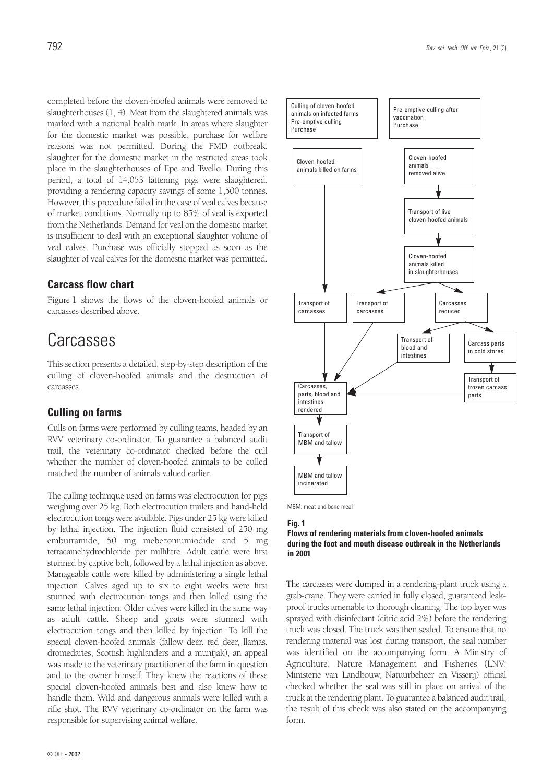completed before the cloven-hoofed animals were removed to slaughterhouses (1, 4). Meat from the slaughtered animals was marked with a national health mark. In areas where slaughter for the domestic market was possible, purchase for welfare reasons was not permitted. During the FMD outbreak, slaughter for the domestic market in the restricted areas took place in the slaughterhouses of Epe and Twello. During this period, a total of 14,053 fattening pigs were slaughtered, providing a rendering capacity savings of some 1,500 tonnes. However, this procedure failed in the case of veal calves because of market conditions. Normally up to 85% of veal is exported from the Netherlands. Demand for veal on the domestic market is insufficient to deal with an exceptional slaughter volume of veal calves. Purchase was officially stopped as soon as the slaughter of veal calves for the domestic market was permitted.

## **Carcass flow chart**

Figure 1 shows the flows of the cloven-hoofed animals or carcasses described above.

# **Carcasses**

This section presents a detailed, step-by-step description of the culling of cloven-hoofed animals and the destruction of carcasses.

## **Culling on farms**

Culls on farms were performed by culling teams, headed by an RVV veterinary co-ordinator. To guarantee a balanced audit trail, the veterinary co-ordinator checked before the cull whether the number of cloven-hoofed animals to be culled matched the number of animals valued earlier.

The culling technique used on farms was electrocution for pigs weighing over 25 kg. Both electrocution trailers and hand-held electrocution tongs were available. Pigs under 25 kg were killed by lethal injection. The injection fluid consisted of 250 mg embutramide, 50 mg mebezoniumiodide and 5 mg tetracainehydrochloride per millilitre. Adult cattle were first stunned by captive bolt, followed by a lethal injection as above. Manageable cattle were killed by administering a single lethal injection. Calves aged up to six to eight weeks were first stunned with electrocution tongs and then killed using the same lethal injection. Older calves were killed in the same way as adult cattle. Sheep and goats were stunned with electrocution tongs and then killed by injection. To kill the special cloven-hoofed animals (fallow deer, red deer, llamas, dromedaries, Scottish highlanders and a muntjak), an appeal was made to the veterinary practitioner of the farm in question and to the owner himself. They knew the reactions of these special cloven-hoofed animals best and also knew how to handle them. Wild and dangerous animals were killed with a rifle shot. The RVV veterinary co-ordinator on the farm was responsible for supervising animal welfare.



MBM: meat-and-bone meal

#### **Fig. 1**

#### **Flows of rendering materials from cloven-hoofed animals during the foot and mouth disease outbreak in the Netherlands in 2001**

The carcasses were dumped in a rendering-plant truck using a grab-crane. They were carried in fully closed, guaranteed leakproof trucks amenable to thorough cleaning. The top layer was sprayed with disinfectant (citric acid 2%) before the rendering truck was closed. The truck was then sealed. To ensure that no rendering material was lost during transport, the seal number was identified on the accompanying form. A Ministry of Agriculture, Nature Management and Fisheries (LNV: Ministerie van Landbouw, Natuurbeheer en Visserij) official checked whether the seal was still in place on arrival of the truck at the rendering plant. To guarantee a balanced audit trail, the result of this check was also stated on the accompanying form.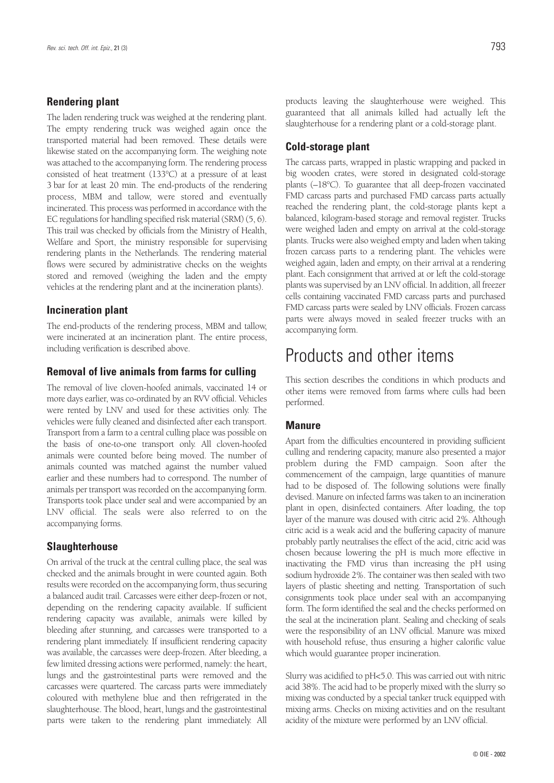## **Rendering plant**

The laden rendering truck was weighed at the rendering plant. The empty rendering truck was weighed again once the transported material had been removed. These details were likewise stated on the accompanying form. The weighing note was attached to the accompanying form. The rendering process consisted of heat treatment (133°C) at a pressure of at least 3 bar for at least 20 min. The end-products of the rendering process, MBM and tallow, were stored and eventually incinerated. This process was performed in accordance with the EC regulations for handling specified risk material (SRM) (5, 6). This trail was checked by officials from the Ministry of Health, Welfare and Sport, the ministry responsible for supervising rendering plants in the Netherlands. The rendering material flows were secured by administrative checks on the weights stored and removed (weighing the laden and the empty vehicles at the rendering plant and at the incineration plants).

## **Incineration plant**

The end-products of the rendering process, MBM and tallow, were incinerated at an incineration plant. The entire process, including verification is described above.

## **Removal of live animals from farms for culling**

The removal of live cloven-hoofed animals, vaccinated 14 or more days earlier, was co-ordinated by an RVV official. Vehicles were rented by LNV and used for these activities only. The vehicles were fully cleaned and disinfected after each transport. Transport from a farm to a central culling place was possible on the basis of one-to-one transport only. All cloven-hoofed animals were counted before being moved. The number of animals counted was matched against the number valued earlier and these numbers had to correspond. The number of animals per transport was recorded on the accompanying form. Transports took place under seal and were accompanied by an LNV official. The seals were also referred to on the accompanying forms.

## **Slaughterhouse**

On arrival of the truck at the central culling place, the seal was checked and the animals brought in were counted again. Both results were recorded on the accompanying form, thus securing a balanced audit trail. Carcasses were either deep-frozen or not, depending on the rendering capacity available. If sufficient rendering capacity was available, animals were killed by bleeding after stunning, and carcasses were transported to a rendering plant immediately. If insufficient rendering capacity was available, the carcasses were deep-frozen. After bleeding, a few limited dressing actions were performed, namely: the heart, lungs and the gastrointestinal parts were removed and the carcasses were quartered. The carcass parts were immediately coloured with methylene blue and then refrigerated in the slaughterhouse. The blood, heart, lungs and the gastrointestinal parts were taken to the rendering plant immediately. All

products leaving the slaughterhouse were weighed. This guaranteed that all animals killed had actually left the slaughterhouse for a rendering plant or a cold-storage plant.

## **Cold-storage plant**

The carcass parts, wrapped in plastic wrapping and packed in big wooden crates, were stored in designated cold-storage plants (–18°C). To guarantee that all deep-frozen vaccinated FMD carcass parts and purchased FMD carcass parts actually reached the rendering plant, the cold-storage plants kept a balanced, kilogram-based storage and removal register. Trucks were weighed laden and empty on arrival at the cold-storage plants. Trucks were also weighed empty and laden when taking frozen carcass parts to a rendering plant. The vehicles were weighed again, laden and empty, on their arrival at a rendering plant. Each consignment that arrived at or left the cold-storage plants was supervised by an LNV official. In addition, all freezer cells containing vaccinated FMD carcass parts and purchased FMD carcass parts were sealed by LNV officials. Frozen carcass parts were always moved in sealed freezer trucks with an accompanying form.

## Products and other items

This section describes the conditions in which products and other items were removed from farms where culls had been performed.

#### **Manure**

Apart from the difficulties encountered in providing sufficient culling and rendering capacity, manure also presented a major problem during the FMD campaign. Soon after the commencement of the campaign, large quantities of manure had to be disposed of. The following solutions were finally devised. Manure on infected farms was taken to an incineration plant in open, disinfected containers. After loading, the top layer of the manure was doused with citric acid 2%. Although citric acid is a weak acid and the buffering capacity of manure probably partly neutralises the effect of the acid, citric acid was chosen because lowering the pH is much more effective in inactivating the FMD virus than increasing the pH using sodium hydroxide 2%. The container was then sealed with two layers of plastic sheeting and netting. Transportation of such consignments took place under seal with an accompanying form. The form identified the seal and the checks performed on the seal at the incineration plant. Sealing and checking of seals were the responsibility of an LNV official. Manure was mixed with household refuse, thus ensuring a higher calorific value which would guarantee proper incineration.

Slurry was acidified to pH<5.0. This was carried out with nitric acid 38%. The acid had to be properly mixed with the slurry so mixing was conducted by a special tanker truck equipped with mixing arms. Checks on mixing activities and on the resultant acidity of the mixture were performed by an LNV official.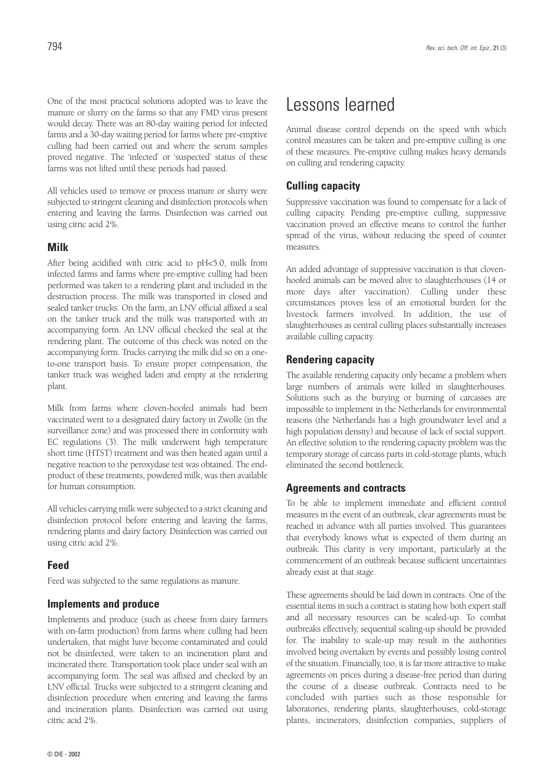One of the most practical solutions adopted was to leave the manure or slurry on the farms so that any FMD virus present would decay. There was an 80-day waiting period for infected farms and a 30-day waiting period for farms where pre-emptive culling had been carried out and where the serum samples proved negative. The 'infected' or 'suspected' status of these farms was not lifted until these periods had passed.

All vehicles used to remove or process manure or slurry were subjected to stringent cleaning and disinfection protocols when entering and leaving the farms. Disinfection was carried out using citric acid 2%.

#### **Milk**

After being acidified with citric acid to pH<5.0, milk from infected farms and farms where pre-emptive culling had been performed was taken to a rendering plant and included in the destruction process. The milk was transported in closed and sealed tanker trucks. On the farm, an LNV official affixed a seal on the tanker truck and the milk was transported with an accompanying form. An LNV official checked the seal at the rendering plant. The outcome of this check was noted on the accompanying form. Trucks carrying the milk did so on a oneto-one transport basis. To ensure proper compensation, the tanker truck was weighed laden and empty at the rendering plant.

Milk from farms where cloven-hoofed animals had been vaccinated went to a designated dairy factory in Zwolle (in the surveillance zone) and was processed there in conformity with EC regulations (3). The milk underwent high temperature short time (HTST) treatment and was then heated again until a negative reaction to the peroxydase test was obtained. The endproduct of these treatments, powdered milk, was then available for human consumption.

All vehicles carrying milk were subjected to a strict cleaning and disinfection protocol before entering and leaving the farms, rendering plants and dairy factory. Disinfection was carried out using citric acid 2%.

#### **Feed**

Feed was subjected to the same regulations as manure.

#### **Implements and produce**

Implements and produce (such as cheese from dairy farmers with on-farm production) from farms where culling had been undertaken, that might have become contaminated and could not be disinfected, were taken to an incineration plant and incinerated there. Transportation took place under seal with an accompanying form. The seal was affixed and checked by an LNV official. Trucks were subjected to a stringent cleaning and disinfection procedure when entering and leaving the farms and incineration plants. Disinfection was carried out using citric acid 2%.

# Lessons learned

Animal disease control depends on the speed with which control measures can be taken and pre-emptive culling is one of these measures. Pre-emptive culling makes heavy demands on culling and rendering capacity.

### **Culling capacity**

Suppressive vaccination was found to compensate for a lack of culling capacity. Pending pre-emptive culling, suppressive vaccination proved an effective means to control the further spread of the virus, without reducing the speed of counter measures.

An added advantage of suppressive vaccination is that clovenhoofed animals can be moved alive to slaughterhouses (14 or more days after vaccination). Culling under these circumstances proves less of an emotional burden for the livestock farmers involved. In addition, the use of slaughterhouses as central culling places substantially increases available culling capacity.

#### **Rendering capacity**

The available rendering capacity only became a problem when large numbers of animals were killed in slaughterhouses. Solutions such as the burying or burning of carcasses are impossible to implement in the Netherlands for environmental reasons (the Netherlands has a high groundwater level and a high population density) and because of lack of social support. An effective solution to the rendering capacity problem was the temporary storage of carcass parts in cold-storage plants, which eliminated the second bottleneck.

### **Agreements and contracts**

To be able to implement immediate and efficient control measures in the event of an outbreak, clear agreements must be reached in advance with all parties involved. This guarantees that everybody knows what is expected of them during an outbreak. This clarity is very important, particularly at the commencement of an outbreak because sufficient uncertainties already exist at that stage.

These agreements should be laid down in contracts. One of the essential items in such a contract is stating how both expert staff and all necessary resources can be scaled-up. To combat outbreaks effectively, sequential scaling-up should be provided for. The inability to scale-up may result in the authorities involved being overtaken by events and possibly losing control of the situation. Financially, too, it is far more attractive to make agreements on prices during a disease-free period than during the course of a disease outbreak. Contracts need to be concluded with parties such as those responsible for laboratories, rendering plants, slaughterhouses, cold-storage plants, incinerators, disinfection companies, suppliers of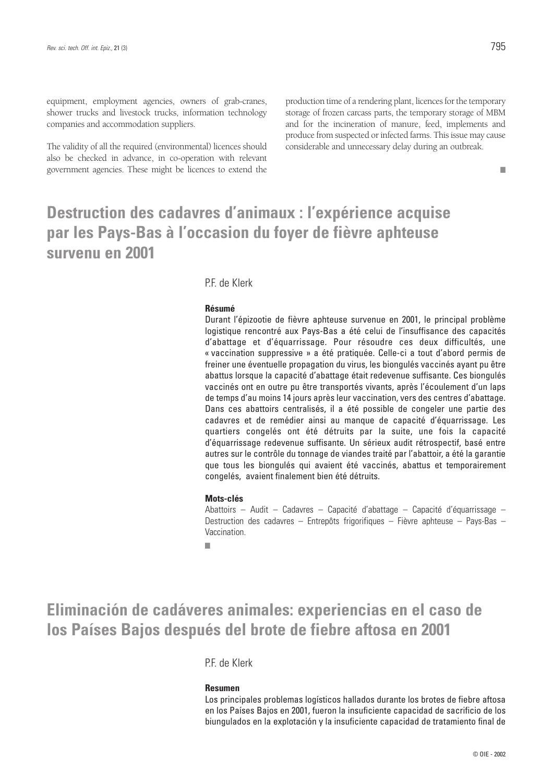equipment, employment agencies, owners of grab-cranes, shower trucks and livestock trucks, information technology companies and accommodation suppliers.

The validity of all the required (environmental) licences should also be checked in advance, in co-operation with relevant government agencies. These might be licences to extend the

production time of a rendering plant, licences for the temporary storage of frozen carcass parts, the temporary storage of MBM and for the incineration of manure, feed, implements and produce from suspected or infected farms. This issue may cause considerable and unnecessary delay during an outbreak.

■

# **Destruction des cadavres d'animaux : l'expérience acquise par les Pays-Bas à l'occasion du foyer de fièvre aphteuse survenu en 2001**

### PF de Klerk

#### **Résumé**

Durant l'épizootie de fièvre aphteuse survenue en 2001, le principal problème logistique rencontré aux Pays-Bas a été celui de l'insuffisance des capacités d'abattage et d'équarrissage. Pour résoudre ces deux difficultés, une « vaccination suppressive » a été pratiquée. Celle-ci a tout d'abord permis de freiner une éventuelle propagation du virus, les biongulés vaccinés ayant pu être abattus lorsque la capacité d'abattage était redevenue suffisante. Ces biongulés vaccinés ont en outre pu être transportés vivants, après l'écoulement d'un laps de temps d'au moins 14 jours après leur vaccination, vers des centres d'abattage. Dans ces abattoirs centralisés, il a été possible de congeler une partie des cadavres et de remédier ainsi au manque de capacité d'équarrissage. Les quartiers congelés ont été détruits par la suite, une fois la capacité d'équarrissage redevenue suffisante. Un sérieux audit rétrospectif, basé entre autres sur le contrôle du tonnage de viandes traité par l'abattoir, a été la garantie que tous les biongulés qui avaient été vaccinés, abattus et temporairement congelés, avaient finalement bien été détruits.

#### **Mots-clés**

Abattoirs – Audit – Cadavres – Capacité d'abattage – Capacité d'équarrissage – Destruction des cadavres – Entrepôts frigorifiques – Fièvre aphteuse – Pays-Bas – Vaccination.

■

# **Eliminación de cadáveres animales: experiencias en el caso de los Países Bajos después del brote de fiebre aftosa en 2001**

PF de Klerk

#### **Resumen**

Los principales problemas logísticos hallados durante los brotes de fiebre aftosa en los Países Bajos en 2001, fueron la insuficiente capacidad de sacrificio de los biungulados en la explotación y la insuficiente capacidad de tratamiento final de